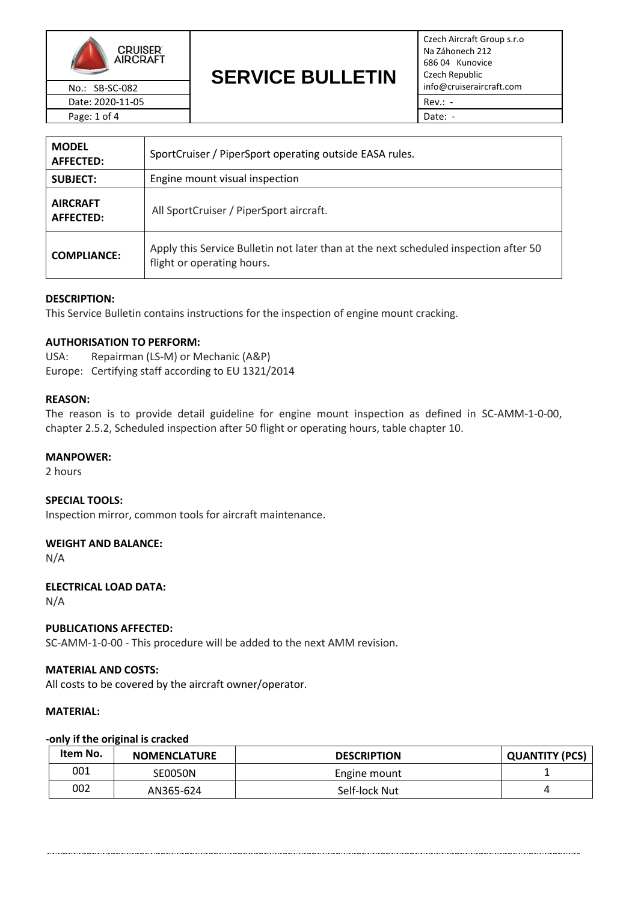

Date: 2020-11-05 **Rev.: -** Rev.: -Page: 1 of 4 Date: -

# **SERVICE BULLETIN** No.: SB-SC-082 **INTERNATION CONTRACT PROPERTY INTERNATION** info@cruiseraircraft.com

Czech Aircraft Group s.r.o Na Záhonech 212 686 04 Kunovice Czech Republic

| <b>MODEL</b><br><b>AFFECTED:</b>    | SportCruiser / PiperSport operating outside EASA rules.                                                            |  |
|-------------------------------------|--------------------------------------------------------------------------------------------------------------------|--|
| <b>SUBJECT:</b>                     | Engine mount visual inspection                                                                                     |  |
| <b>AIRCRAFT</b><br><b>AFFECTED:</b> | All SportCruiser / PiperSport aircraft.                                                                            |  |
| <b>COMPLIANCE:</b>                  | Apply this Service Bulletin not later than at the next scheduled inspection after 50<br>flight or operating hours. |  |

# **DESCRIPTION:**

This Service Bulletin contains instructions for the inspection of engine mount cracking.

## **AUTHORISATION TO PERFORM:**

USA: Repairman (LS-M) or Mechanic (A&P) Europe: Certifying staff according to EU 1321/2014

## **REASON:**

The reason is to provide detail guideline for engine mount inspection as defined in SC-AMM-1-0-00, chapter 2.5.2, Scheduled inspection after 50 flight or operating hours, table chapter 10.

#### **MANPOWER:**

2 hours

#### **SPECIAL TOOLS:**

Inspection mirror, common tools for aircraft maintenance.

## **WEIGHT AND BALANCE:**

N/A

## **ELECTRICAL LOAD DATA:**

N/A

## **PUBLICATIONS AFFECTED:**

SC-AMM-1-0-00 - This procedure will be added to the next AMM revision.

#### **MATERIAL AND COSTS:**

All costs to be covered by the aircraft owner/operator.

#### **MATERIAL:**

#### **-only if the original is cracked**

| Item No. | <b>NOMENCLATURE</b> | <b>DESCRIPTION</b> | <b>QUANTITY (PCS)</b> |
|----------|---------------------|--------------------|-----------------------|
| 001      | SE0050N             | Engine mount       |                       |
| 002      | AN365-624           | Self-lock Nut      |                       |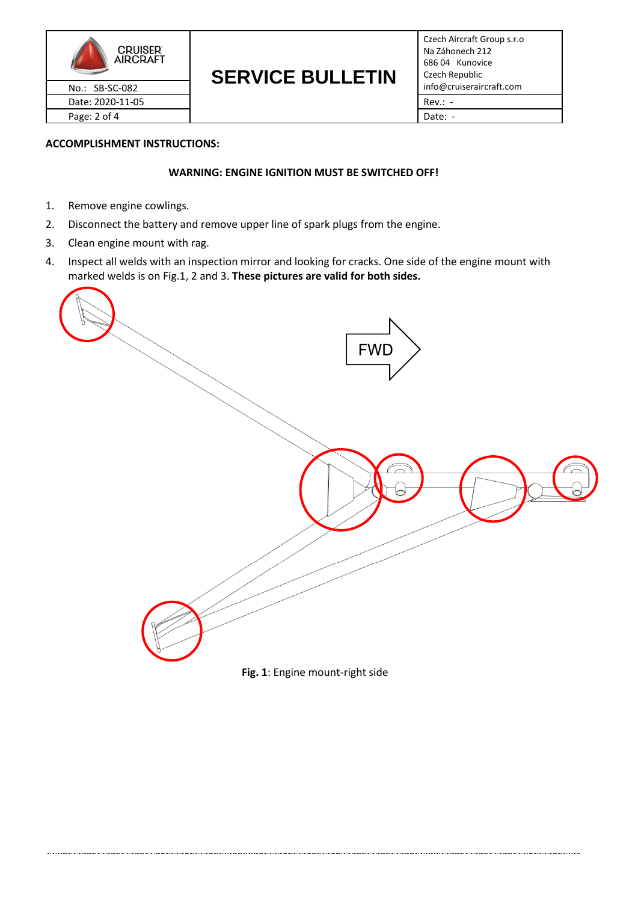

# **SERVICE BULLETIN**

Czech Aircraft Group s.r.o Na Záhonech 212 686 04 Kunovice Czech Republic

# **ACCOMPLISHMENT INSTRUCTIONS:**

# **WARNING: ENGINE IGNITION MUST BE SWITCHED OFF!**

- 1. Remove engine cowlings.
- 2. Disconnect the battery and remove upper line of spark plugs from the engine.
- 3. Clean engine mount with rag.
- 4. Inspect all welds with an inspection mirror and looking for cracks. One side of the engine mount with marked welds is on Fig.1, 2 and 3. **These pictures are valid for both sides.**

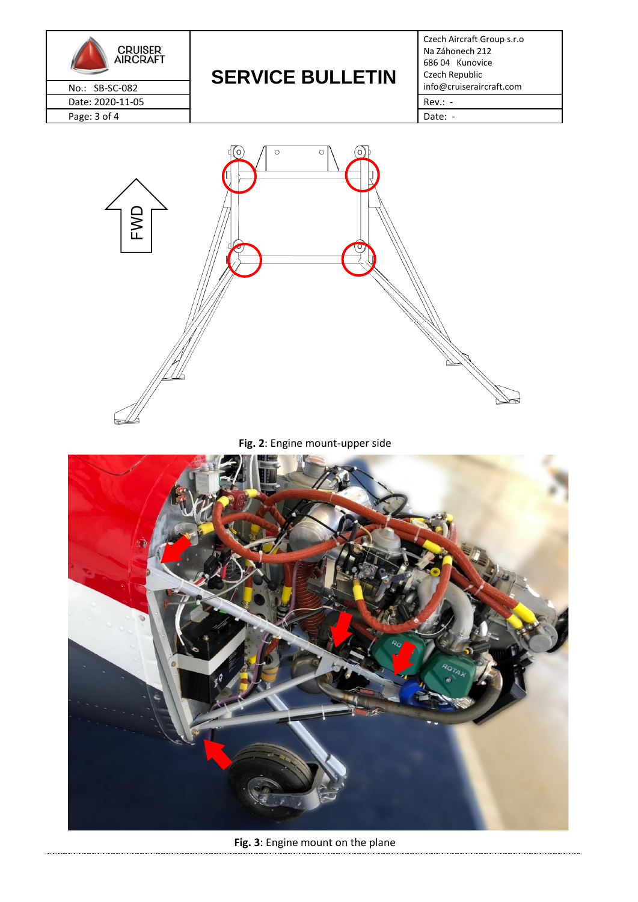

# **SERVICE BULLETIN** No.: SB-SC-082 **INTERTIME DULLE IIIT** info@cruiseraircraft.com

Czech Aircraft Group s.r.o Na Záhonech 212 686 04 Kunovice Czech Republic



**Fig. 2**: Engine mount-upper side



**Fig. 3**: Engine mount on the plane